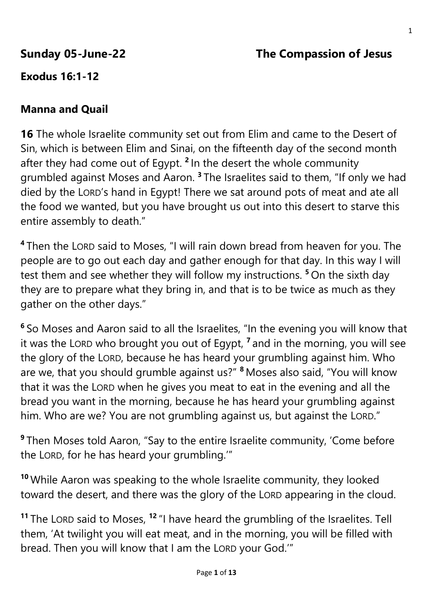# **Sunday 05-June-22 The Compassion of Jesus**

# **Exodus 16:1-12**

## **Manna and Quail**

**16** The whole Israelite community set out from Elim and came to the Desert of Sin, which is between Elim and Sinai, on the fifteenth day of the second month after they had come out of Egypt. **<sup>2</sup>** In the desert the whole community grumbled against Moses and Aaron. **<sup>3</sup>** The Israelites said to them, "If only we had died by the LORD's hand in Egypt! There we sat around pots of meat and ate all the food we wanted, but you have brought us out into this desert to starve this entire assembly to death."

**4** Then the LORD said to Moses, "I will rain down bread from heaven for you. The people are to go out each day and gather enough for that day. In this way I will test them and see whether they will follow my instructions. **<sup>5</sup>** On the sixth day they are to prepare what they bring in, and that is to be twice as much as they gather on the other days."

**6** So Moses and Aaron said to all the Israelites, "In the evening you will know that it was the LORD who brought you out of Egypt, **<sup>7</sup>** and in the morning, you will see the glory of the LORD, because he has heard your grumbling against him. Who are we, that you should grumble against us?" **<sup>8</sup>** Moses also said, "You will know that it was the LORD when he gives you meat to eat in the evening and all the bread you want in the morning, because he has heard your grumbling against him. Who are we? You are not grumbling against us, but against the LORD."

**9** Then Moses told Aaron, "Say to the entire Israelite community, 'Come before the LORD, for he has heard your grumbling.'"

**<sup>10</sup>** While Aaron was speaking to the whole Israelite community, they looked toward the desert, and there was the glory of the LORD appearing in the cloud.

**<sup>11</sup>** The LORD said to Moses, **<sup>12</sup>** "I have heard the grumbling of the Israelites. Tell them, 'At twilight you will eat meat, and in the morning, you will be filled with bread. Then you will know that I am the LORD your God.'"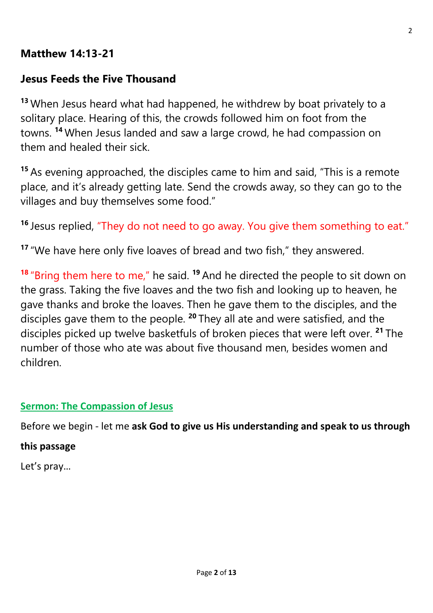## **Matthew 14:13-21**

#### **Jesus Feeds the Five Thousand**

**<sup>13</sup>** When Jesus heard what had happened, he withdrew by boat privately to a solitary place. Hearing of this, the crowds followed him on foot from the towns. **<sup>14</sup>** When Jesus landed and saw a large crowd, he had compassion on them and healed their sick.

**<sup>15</sup>** As evening approached, the disciples came to him and said, "This is a remote place, and it's already getting late. Send the crowds away, so they can go to the villages and buy themselves some food."

**<sup>16</sup>** Jesus replied, "They do not need to go away. You give them something to eat."

**<sup>17</sup>** "We have here only five loaves of bread and two fish," they answered.

**<sup>18</sup>** "Bring them here to me," he said. **<sup>19</sup>** And he directed the people to sit down on the grass. Taking the five loaves and the two fish and looking up to heaven, he gave thanks and broke the loaves. Then he gave them to the disciples, and the disciples gave them to the people. **<sup>20</sup>** They all ate and were satisfied, and the disciples picked up twelve basketfuls of broken pieces that were left over. **<sup>21</sup>** The number of those who ate was about five thousand men, besides women and children.

#### **Sermon: The Compassion of Jesus**

Before we begin - let me **ask God to give us His understanding and speak to us through** 

#### **this passage**

Let's pray…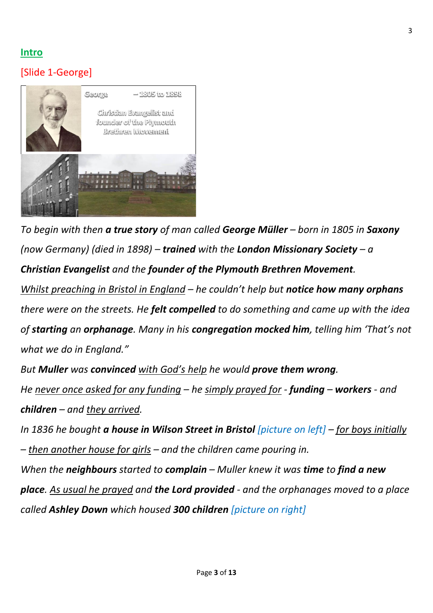#### **Intro**

#### [Slide 1-George]



*To begin with then a true story of man called George Müller – born in 1805 in Saxony (now Germany) (died in 1898) – trained with the London Missionary Society – a Christian Evangelist and the founder of the Plymouth Brethren Movement.*

*Whilst preaching in Bristol in England – he couldn't help but notice how many orphans there were on the streets. He felt compelled to do something and came up with the idea of starting an orphanage. Many in his congregation mocked him, telling him 'That's not what we do in England."*

*But Muller was convinced with God's help he would prove them wrong. He never once asked for any funding – he simply prayed for - funding – workers - and children – and they arrived.*

*In 1836 he bought a house in Wilson Street in Bristol [picture on left] – for boys initially – then another house for girls – and the children came pouring in.*

*When the neighbours started to complain – Muller knew it was time to find a new place. As usual he prayed and the Lord provided - and the orphanages moved to a place called Ashley Down which housed 300 children [picture on right]*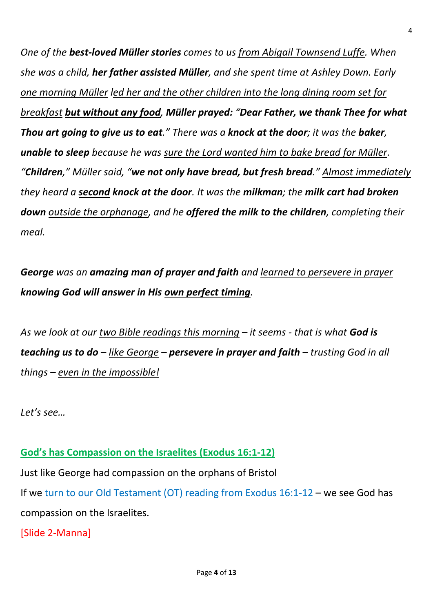*One of the best-loved Müller stories comes to us from Abigail Townsend Luffe. When she was a child, her father assisted Müller, and she spent time at Ashley Down. Early one morning Müller led her and the other children into the long dining room set for breakfast but without any food, Müller prayed: "Dear Father, we thank Thee for what Thou art going to give us to eat." There was a knock at the door; it was the baker, unable to sleep because he was sure the Lord wanted him to bake bread for Müller. "Children," Müller said, "we not only have bread, but fresh bread." Almost immediately they heard a second knock at the door. It was the milkman; the milk cart had broken down outside the orphanage, and he offered the milk to the children, completing their meal.*

*George was an amazing man of prayer and faith and learned to persevere in prayer knowing God will answer in His own perfect timing.*

*As we look at our two Bible readings this morning – it seems - that is what God is teaching us to do – like George – persevere in prayer and faith – trusting God in all things – even in the impossible!*

*Let's see…*

#### **God's has Compassion on the Israelites (Exodus 16:1-12)**

Just like George had compassion on the orphans of Bristol

If we turn to our Old Testament (OT) reading from Exodus 16:1-12 – we see God has compassion on the Israelites.

[Slide 2-Manna]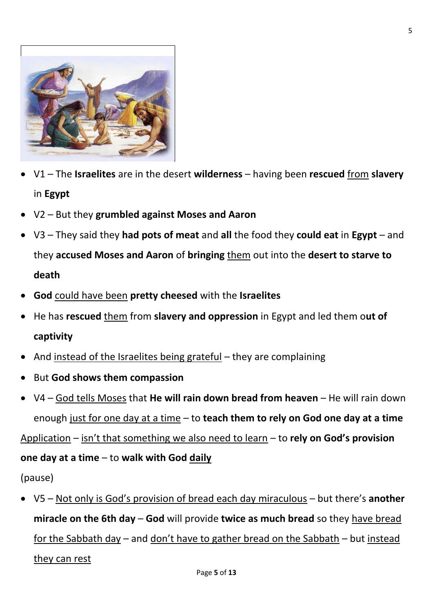

- V1 The **Israelites** are in the desert **wilderness** having been **rescued** from **slavery** in **Egypt**
- V2 But they **grumbled against Moses and Aaron**
- V3 They said they **had pots of meat** and **all** the food they **could eat** in **Egypt** and they **accused Moses and Aaron** of **bringing** them out into the **desert to starve to death**
- **God** could have been **pretty cheesed** with the **Israelites**
- He has **rescued** them from **slavery and oppression** in Egypt and led them o**ut of captivity**
- And instead of the Israelites being grateful they are complaining
- But **God shows them compassion**
- V4 God tells Moses that **He will rain down bread from heaven** He will rain down enough just for one day at a time – to **teach them to rely on God one day at a time**

Application – isn't that something we also need to learn – to rely on God's provision

#### **one day at a time** – to **walk with God daily**

(pause)

• V5 – Not only is God's provision of bread each day miraculous – but there's **another miracle on the 6th day** – **God** will provide **twice as much bread** so they have bread for the Sabbath day – and don't have to gather bread on the Sabbath – but instead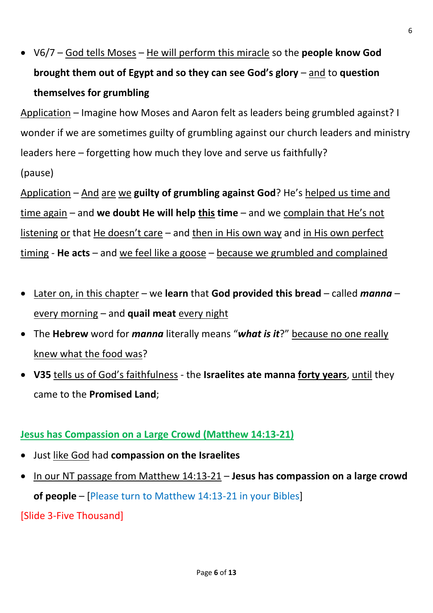• V6/7 – God tells Moses – He will perform this miracle so the **people know God brought them out of Egypt and so they can see God's glory – and to question themselves for grumbling**

Application – Imagine how Moses and Aaron felt as leaders being grumbled against? I wonder if we are sometimes guilty of grumbling against our church leaders and ministry leaders here – forgetting how much they love and serve us faithfully?

(pause)

Application – And are we **guilty of grumbling against God**? He's helped us time and time again – and **we doubt He will help this time** – and we complain that He's not listening or that He doesn't care – and then in His own way and in His own perfect timing - **He acts** – and we feel like a goose – because we grumbled and complained

- Later on, in this chapter we **learn** that **God provided this bread** called *manna* every morning – and **quail meat** every night
- The **Hebrew** word for *manna* literally means "*what is it*?" because no one really knew what the food was?
- **V35** tells us of God's faithfulness the **Israelites ate manna forty years**, until they came to the **Promised Land**;

## **Jesus has Compassion on a Large Crowd (Matthew 14:13-21)**

- Just like God had **compassion on the Israelites**
- In our NT passage from Matthew 14:13-21 **Jesus has compassion on a large crowd of people** – [Please turn to Matthew 14:13-21 in your Bibles]

[Slide 3-Five Thousand]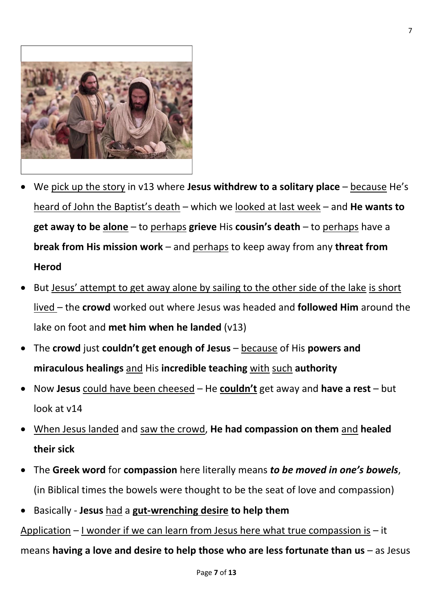

- We pick up the story in v13 where **Jesus withdrew to a solitary place** because He's heard of John the Baptist's death – which we looked at last week – and **He wants to get away to be alone** – to perhaps **grieve** His **cousin's death** – to perhaps have a **break from His mission work** – and perhaps to keep away from any **threat from Herod**
- But Jesus' attempt to get away alone by sailing to the other side of the lake is short lived – the **crowd** worked out where Jesus was headed and **followed Him** around the lake on foot and **met him when he landed** (v13)
- The **crowd** just **couldn't get enough of Jesus** because of His powers and **miraculous healings** and His **incredible teaching** with such **authority**
- Now Jesus could have been cheesed He couldn't get away and have a rest but look at v14
- When Jesus landed and saw the crowd, **He had compassion on them** and **healed their sick**
- The **Greek word** for **compassion** here literally means *to be moved in one's bowels*, (in Biblical times the bowels were thought to be the seat of love and compassion)
- Basically **Jesus** had a **gut-wrenching desire to help them**

Application  $-1$  wonder if we can learn from Jesus here what true compassion is  $-$  it means **having a love and desire to help those who are less fortunate than us** – as Jesus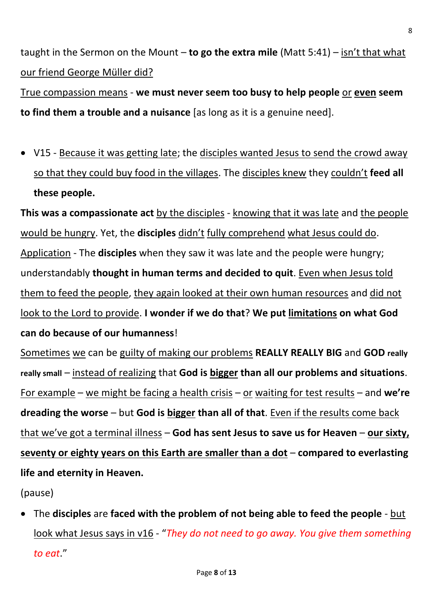taught in the Sermon on the Mount – **to go the extra mile** (Matt 5:41) – isn't that what our friend George Müller did?

True compassion means - **we must never seem too busy to help people** or **even seem to find them a trouble and a nuisance** [as long as it is a genuine need].

• V15 - Because it was getting late; the disciples wanted Jesus to send the crowd away so that they could buy food in the villages. The disciples knew they couldn't **feed all these people.**

**This was a compassionate act** by the disciples - knowing that it was late and the people would be hungry. Yet, the **disciples** didn't fully comprehend what Jesus could do. Application - The **disciples** when they saw it was late and the people were hungry; understandably **thought in human terms and decided to quit**. Even when Jesus told them to feed the people, they again looked at their own human resources and did not look to the Lord to provide. **I wonder if we do that**? **We put limitations on what God can do because of our humanness**!

Sometimes we can be guilty of making our problems **REALLY REALLY BIG** and **GOD really really small** – instead of realizing that **God is bigger than all our problems and situations**. For example – we might be facing a health crisis – or waiting for test results – and  $we're$ **dreading the worse** – but **God is bigger than all of that**. Even if the results come back that we've got a terminal illness – **God has sent Jesus to save us for Heaven** – **our sixty, seventy or eighty years on this Earth are smaller than a dot** – **compared to everlasting life and eternity in Heaven.**

(pause)

• The **disciples** are **faced with the problem of not being able to feed the people** - but look what Jesus says in v16 - "*They do not need to go away. You give them something to eat*."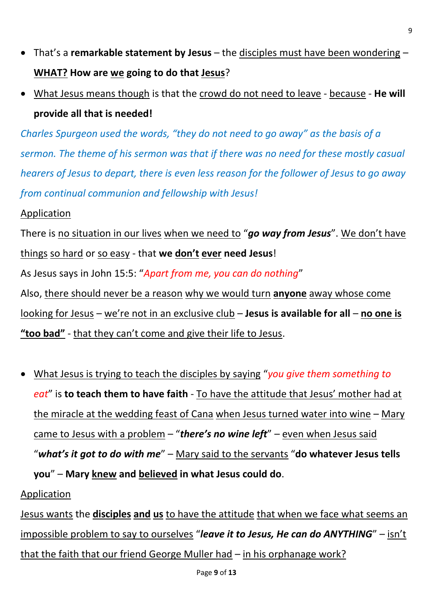- That's a **remarkable statement by Jesus** the disciples must have been wondering **WHAT? How are we going to do that Jesus**?
- What Jesus means though is that the crowd do not need to leave because **He will provide all that is needed!**

*Charles Spurgeon used the words, "they do not need to go away" as the basis of a sermon. The theme of his sermon was that if there was no need for these mostly casual hearers of Jesus to depart, there is even less reason for the follower of Jesus to go away from continual communion and fellowship with Jesus!*

#### Application

There is no situation in our lives when we need to "*go way from Jesus*". We don't have things so hard or so easy - that we don't ever need Jesus! As Jesus says in John 15:5: "*Apart from me, you can do nothing*" Also, there should never be a reason why we would turn **anyone** away whose come

looking for Jesus – we're not in an exclusive club – **Jesus is available for all** – **no one is**  "**too bad**" - that they can't come and give their life to Jesus.

• What Jesus is trying to teach the disciples by saying "*you give them something to eat*" is **to teach them to have faith** - To have the attitude that Jesus' mother had at the miracle at the wedding feast of Cana when Jesus turned water into wine – Mary came to Jesus with a problem – "*there's no wine left*" – even when Jesus said "*what's it got to do with me*" – Mary said to the servants "**do whatever Jesus tells you**" – **Mary knew and believed in what Jesus could do**.

#### Application

Jesus wants the **disciples and us** to have the attitude that when we face what seems an impossible problem to say to ourselves "*leave it to Jesus, He can do ANYTHING*" – isn't that the faith that our friend George Muller had – in his orphanage work?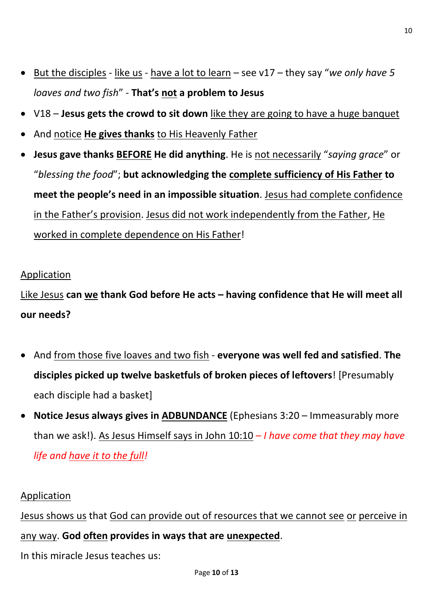- But the disciples like us have a lot to learn see v17 they say "*we only have 5 loaves and two fish*" - **T ' not a problem to Jesus**
- V18 **Jesus gets the crowd to sit down** like they are going to have a huge banquet
- And notice **He gives thanks** to His Heavenly Father
- **Jesus gave thanks BEFORE He did anything**. He is not necessarily "*saying grace*" or "*blessing the food*"; **but acknowledging the complete sufficiency of His Father to**  meet the people's need in an impossible situation. Jesus had complete confidence in the Father's provision. Jesus did not work independently from the Father, He worked in complete dependence on His Father!

#### Application

Like Jesus **can we thank God before He acts – having confidence that He will meet all our needs?**

- And from those five loaves and two fish **everyone was well fed and satisfied**. **The disciples picked up twelve basketfuls of broken pieces of leftovers**! [Presumably each disciple had a basket]
- **Notice Jesus always gives in ADBUNDANCE** (Ephesians 3:20 Immeasurably more than we ask!). As Jesus Himself says in John 10:10 – *I have come that they may have life and have it to the full!*

#### Application

Jesus shows us that God can provide out of resources that we cannot see or perceive in any way. **God often provides in ways that are unexpected**.

In this miracle Jesus teaches us: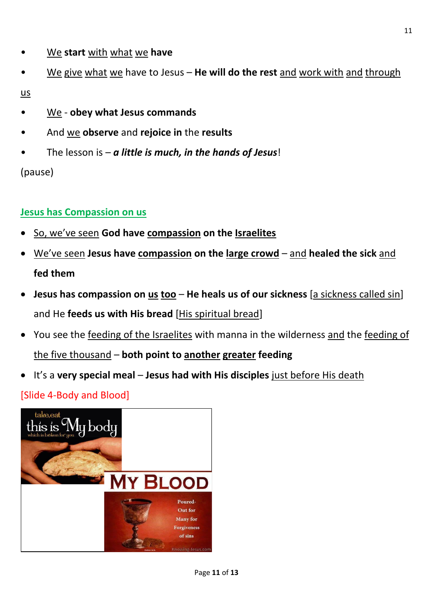- We **start** with what we **have**
- We give what we have to Jesus **He will do the rest** and work with and through

us

- We **obey what Jesus commands**
- And we **observe** and **rejoice in** the **results**
- The lesson is *a little is much, in the hands of Jesus*!

(pause)

## **Jesus has Compassion on us**

- So, we've seen **God have compassion on the Israelites**
- We've seen **Jesus have compassion on the large crowd** and **healed the sick** and **fed them**
- **Jesus has compassion on us too He heals us of our sickness** [a sickness called sin] and He **feeds us with His bread** [His spiritual bread]
- You see the feeding of the Israelites with manna in the wilderness and the feeding of the five thousand – **both point to another greater feeding**
- It's a **very special meal Jesus had with His disciples** just before His death

# [Slide 4-Body and Blood]

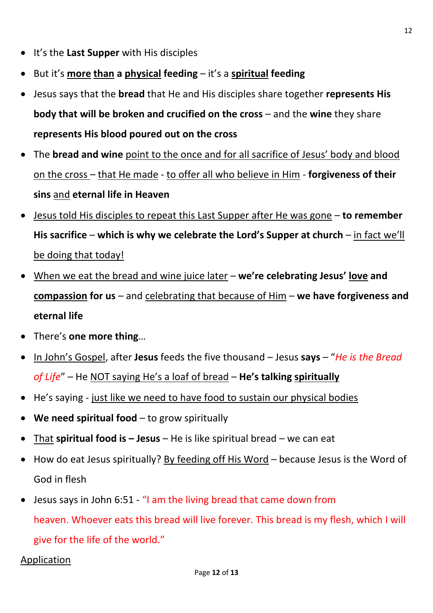- It's the **Last Supper** with His disciples
- But it's **more than a physical feeding** it's a **spiritual feeding**
- Jesus says that the **bread** that He and His disciples share together **represents His body that will be broken and crucified on the cross** – and the **wine** they share **represents His blood poured out on the cross**
- The **bread and wine** point to the once and for all sacrifice of Jesus' body and blood on the cross – that He made - to offer all who believe in Him - **forgiveness of their sins** and **eternal life in Heaven**
- Jesus told His disciples to repeat this Last Supper after He was gone **to remember**  His sacrifice – which is why we celebrate the Lord's Supper at church – in fact we'll be doing that today!
- When we eat the bread and wine juice later we're celebrating Jesus' love and **compassion for us** – and celebrating that because of Him – **we have forgiveness and eternal life**
- There's **one more thing**…
- In John's Gospel, after **Jesus** feeds the five thousand Jesus **says** "*He is the Bread*  of Life" – He NOT saying He's a loaf of bread – He's talking spiritually
- He's saying just like we need to have food to sustain our physical bodies
- **We need spiritual food** to grow spiritually
- That **spiritual food is – Jesus** He is like spiritual bread we can eat
- How do eat Jesus spiritually? By feeding off His Word because Jesus is the Word of God in flesh
- Jesus says in John 6:51 "I am the living bread that came down from heaven. Whoever eats this bread will live forever. This bread is my flesh, which I will give for the life of the world."

#### Application